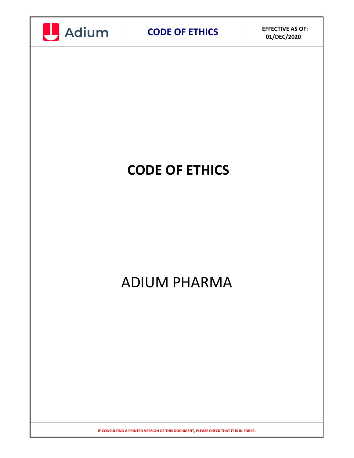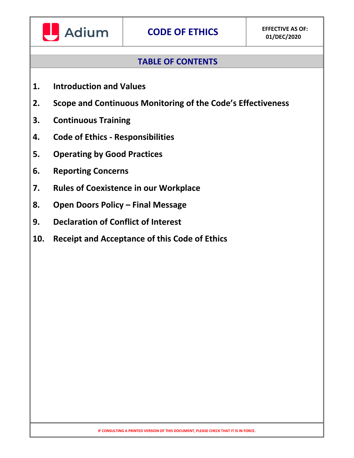

# **TABLE OF CONTENTS**

- **1. Introduction and Values**
- **2. Scope and Continuous Monitoring of the Code's Effectiveness**
- **3. Continuous Training**
- **4. Code of Ethics - Responsibilities**
- **5. Operating by Good Practices**
- **6. Reporting Concerns**
- **7. Rules of Coexistence in our Workplace**
- **8. Open Doors Policy – Final Message**
- **9. Declaration of Conflict of Interest**
- **10. Receipt and Acceptance of this Code of Ethics**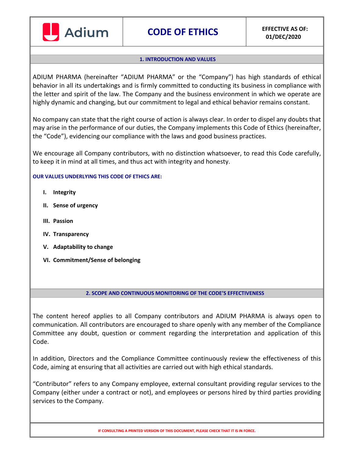

#### **1. INTRODUCTION AND VALUES**

ADIUM PHARMA (hereinafter "ADIUM PHARMA" or the "Company") has high standards of ethical behavior in all its undertakings and is firmly committed to conducting its business in compliance with the letter and spirit of the law. The Company and the business environment in which we operate are highly dynamic and changing, but our commitment to legal and ethical behavior remains constant.

No company can state that the right course of action is always clear. In order to dispel any doubts that may arise in the performance of our duties, the Company implements this Code of Ethics (hereinafter, the "Code"), evidencing our compliance with the laws and good business practices.

We encourage all Company contributors, with no distinction whatsoever, to read this Code carefully, to keep it in mind at all times, and thus act with integrity and honesty.

#### **OUR VALUES UNDERLYING THIS CODE OF ETHICS ARE:**

- **I. Integrity**
- **II. Sense of urgency**
- **III. Passion**
- **IV. Transparency**
- **V. Adaptability to change**
- **VI. Commitment/Sense of belonging**

#### **2. SCOPE AND CONTINUOUS MONITORING OF THE CODE'S EFFECTIVENESS**

The content hereof applies to all Company contributors and ADIUM PHARMA is always open to communication. All contributors are encouraged to share openly with any member of the Compliance Committee any doubt, question or comment regarding the interpretation and application of this Code.

In addition, Directors and the Compliance Committee continuously review the effectiveness of this Code, aiming at ensuring that all activities are carried out with high ethical standards.

"Contributor" refers to any Company employee, external consultant providing regular services to the Company (either under a contract or not), and employees or persons hired by third parties providing services to the Company.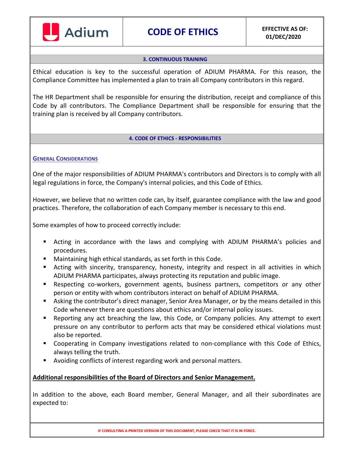

#### **3. CONTINUOUS TRAINING**

Ethical education is key to the successful operation of ADIUM PHARMA. For this reason, the Compliance Committee has implemented a plan to train all Company contributors in this regard.

The HR Department shall be responsible for ensuring the distribution, receipt and compliance of this Code by all contributors. The Compliance Department shall be responsible for ensuring that the training plan is received by all Company contributors.

#### **4. CODE OF ETHICS - RESPONSIBILITIES**

### **GENERAL CONSIDERATIONS**

One of the major responsibilities of ADIUM PHARMA's contributors and Directors is to comply with all legal regulations in force, the Company's internal policies, and this Code of Ethics.

However, we believe that no written code can, by itself, guarantee compliance with the law and good practices. Therefore, the collaboration of each Company member is necessary to this end.

Some examples of how to proceed correctly include:

- Acting in accordance with the laws and complying with ADIUM PHARMA's policies and procedures.
- Maintaining high ethical standards, as set forth in this Code.
- Acting with sincerity, transparency, honesty, integrity and respect in all activities in which ADIUM PHARMA participates, always protecting its reputation and public image.
- Respecting co-workers, government agents, business partners, competitors or any other person or entity with whom contributors interact on behalf of ADIUM PHARMA.
- Asking the contributor's direct manager, Senior Area Manager, or by the means detailed in this Code whenever there are questions about ethics and/or internal policy issues.
- Reporting any act breaching the law, this Code, or Company policies. Any attempt to exert pressure on any contributor to perform acts that may be considered ethical violations must also be reported.
- **Cooperating in Company investigations related to non-compliance with this Code of Ethics,** always telling the truth.
- Avoiding conflicts of interest regarding work and personal matters.

### **Additional responsibilities of the Board of Directors and Senior Management.**

In addition to the above, each Board member, General Manager, and all their subordinates are expected to: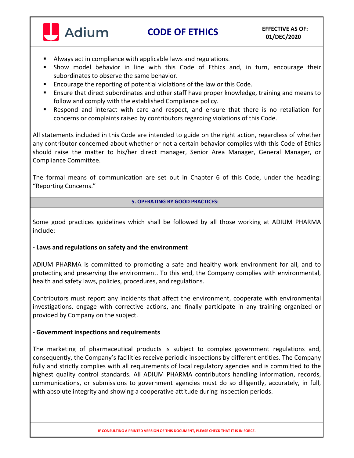

- Always act in compliance with applicable laws and regulations.
- Show model behavior in line with this Code of Ethics and, in turn, encourage their subordinates to observe the same behavior.
- Encourage the reporting of potential violations of the law or this Code.
- Ensure that direct subordinates and other staff have proper knowledge, training and means to follow and comply with the established Compliance policy.
- Respond and interact with care and respect, and ensure that there is no retaliation for concerns or complaints raised by contributors regarding violations of this Code.

All statements included in this Code are intended to guide on the right action, regardless of whether any contributor concerned about whether or not a certain behavior complies with this Code of Ethics should raise the matter to his/her direct manager, Senior Area Manager, General Manager, or Compliance Committee.

The formal means of communication are set out in Chapter 6 of this Code, under the heading: "Reporting Concerns."

#### **5. OPERATING BY GOOD PRACTICES:**

Some good practices guidelines which shall be followed by all those working at ADIUM PHARMA include:

### **- Laws and regulations on safety and the environment**

ADIUM PHARMA is committed to promoting a safe and healthy work environment for all, and to protecting and preserving the environment. To this end, the Company complies with environmental, health and safety laws, policies, procedures, and regulations.

Contributors must report any incidents that affect the environment, cooperate with environmental investigations, engage with corrective actions, and finally participate in any training organized or provided by Company on the subject.

### **- Government inspections and requirements**

The marketing of pharmaceutical products is subject to complex government regulations and, consequently, the Company's facilities receive periodic inspections by different entities. The Company fully and strictly complies with all requirements of local regulatory agencies and is committed to the highest quality control standards. All ADIUM PHARMA contributors handling information, records, communications, or submissions to government agencies must do so diligently, accurately, in full, with absolute integrity and showing a cooperative attitude during inspection periods.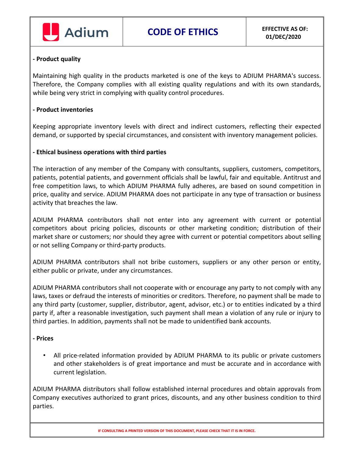

### **- Product quality**

Maintaining high quality in the products marketed is one of the keys to ADIUM PHARMA's success. Therefore, the Company complies with all existing quality regulations and with its own standards, while being very strict in complying with quality control procedures.

### **- Product inventories**

Keeping appropriate inventory levels with direct and indirect customers, reflecting their expected demand, or supported by special circumstances, and consistent with inventory management policies.

### **- Ethical business operations with third parties**

The interaction of any member of the Company with consultants, suppliers, customers, competitors, patients, potential patients, and government officials shall be lawful, fair and equitable. Antitrust and free competition laws, to which ADIUM PHARMA fully adheres, are based on sound competition in price, quality and service. ADIUM PHARMA does not participate in any type of transaction or business activity that breaches the law.

ADIUM PHARMA contributors shall not enter into any agreement with current or potential competitors about pricing policies, discounts or other marketing condition; distribution of their market share or customers; nor should they agree with current or potential competitors about selling or not selling Company or third-party products.

ADIUM PHARMA contributors shall not bribe customers, suppliers or any other person or entity, either public or private, under any circumstances.

ADIUM PHARMA contributors shall not cooperate with or encourage any party to not comply with any laws, taxes or defraud the interests of minorities or creditors. Therefore, no payment shall be made to any third party (customer, supplier, distributor, agent, advisor, etc.) or to entities indicated by a third party if, after a reasonable investigation, such payment shall mean a violation of any rule or injury to third parties. In addition, payments shall not be made to unidentified bank accounts.

### **- Prices**

• All price-related information provided by ADIUM PHARMA to its public or private customers and other stakeholders is of great importance and must be accurate and in accordance with current legislation.

ADIUM PHARMA distributors shall follow established internal procedures and obtain approvals from Company executives authorized to grant prices, discounts, and any other business condition to third parties.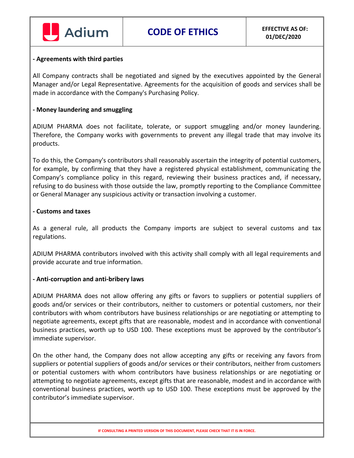

#### **- Agreements with third parties**

All Company contracts shall be negotiated and signed by the executives appointed by the General Manager and/or Legal Representative. Agreements for the acquisition of goods and services shall be made in accordance with the Company's Purchasing Policy.

### **- Money laundering and smuggling**

ADIUM PHARMA does not facilitate, tolerate, or support smuggling and/or money laundering. Therefore, the Company works with governments to prevent any illegal trade that may involve its products.

To do this, the Company's contributors shall reasonably ascertain the integrity of potential customers, for example, by confirming that they have a registered physical establishment, communicating the Company's compliance policy in this regard, reviewing their business practices and, if necessary, refusing to do business with those outside the law, promptly reporting to the Compliance Committee or General Manager any suspicious activity or transaction involving a customer.

#### **- Customs and taxes**

As a general rule, all products the Company imports are subject to several customs and tax regulations.

ADIUM PHARMA contributors involved with this activity shall comply with all legal requirements and provide accurate and true information.

#### **- Anti-corruption and anti-bribery laws**

ADIUM PHARMA does not allow offering any gifts or favors to suppliers or potential suppliers of goods and/or services or their contributors, neither to customers or potential customers, nor their contributors with whom contributors have business relationships or are negotiating or attempting to negotiate agreements, except gifts that are reasonable, modest and in accordance with conventional business practices, worth up to USD 100. These exceptions must be approved by the contributor's immediate supervisor.

On the other hand, the Company does not allow accepting any gifts or receiving any favors from suppliers or potential suppliers of goods and/or services or their contributors, neither from customers or potential customers with whom contributors have business relationships or are negotiating or attempting to negotiate agreements, except gifts that are reasonable, modest and in accordance with conventional business practices, worth up to USD 100. These exceptions must be approved by the contributor's immediate supervisor.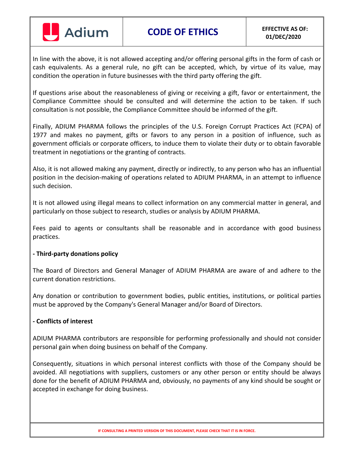

**CODE OF ETHICS EFFECTIVE AS OF:**

In line with the above, it is not allowed accepting and/or offering personal gifts in the form of cash or cash equivalents. As a general rule, no gift can be accepted, which, by virtue of its value, may condition the operation in future businesses with the third party offering the gift.

If questions arise about the reasonableness of giving or receiving a gift, favor or entertainment, the Compliance Committee should be consulted and will determine the action to be taken. If such consultation is not possible, the Compliance Committee should be informed of the gift.

Finally, ADIUM PHARMA follows the principles of the U.S. Foreign Corrupt Practices Act (FCPA) of 1977 and makes no payment, gifts or favors to any person in a position of influence, such as government officials or corporate officers, to induce them to violate their duty or to obtain favorable treatment in negotiations or the granting of contracts.

Also, it is not allowed making any payment, directly or indirectly, to any person who has an influential position in the decision-making of operations related to ADIUM PHARMA, in an attempt to influence such decision.

It is not allowed using illegal means to collect information on any commercial matter in general, and particularly on those subject to research, studies or analysis by ADIUM PHARMA.

Fees paid to agents or consultants shall be reasonable and in accordance with good business practices.

# **- Third-party donations policy**

The Board of Directors and General Manager of ADIUM PHARMA are aware of and adhere to the current donation restrictions.

Any donation or contribution to government bodies, public entities, institutions, or political parties must be approved by the Company's General Manager and/or Board of Directors.

### **- Conflicts of interest**

ADIUM PHARMA contributors are responsible for performing professionally and should not consider personal gain when doing business on behalf of the Company.

Consequently, situations in which personal interest conflicts with those of the Company should be avoided. All negotiations with suppliers, customers or any other person or entity should be always done for the benefit of ADIUM PHARMA and, obviously, no payments of any kind should be sought or accepted in exchange for doing business.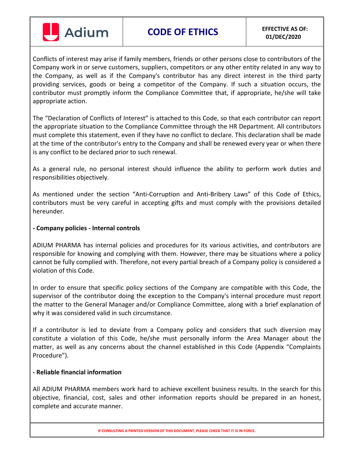

**CODE OF ETHICS EFFECTIVE AS OF:**

Conflicts of interest may arise if family members, friends or other persons close to contributors of the Company work in or serve customers, suppliers, competitors or any other entity related in any way to the Company, as well as if the Company's contributor has any direct interest in the third party providing services, goods or being a competitor of the Company. If such a situation occurs, the contributor must promptly inform the Compliance Committee that, if appropriate, he/she will take appropriate action.

The "Declaration of Conflicts of Interest" is attached to this Code, so that each contributor can report the appropriate situation to the Compliance Committee through the HR Department. All contributors must complete this statement, even if they have no conflict to declare. This declaration shall be made at the time of the contributor's entry to the Company and shall be renewed every year or when there is any conflict to be declared prior to such renewal.

As a general rule, no personal interest should influence the ability to perform work duties and responsibilities objectively.

As mentioned under the section "Anti-Corruption and Anti-Bribery Laws" of this Code of Ethics, contributors must be very careful in accepting gifts and must comply with the provisions detailed hereunder.

# **- Company policies - Internal controls**

ADIUM PHARMA has internal policies and procedures for its various activities, and contributors are responsible for knowing and complying with them. However, there may be situations where a policy cannot be fully complied with. Therefore, not every partial breach of a Company policy is considered a violation of this Code.

In order to ensure that specific policy sections of the Company are compatible with this Code, the supervisor of the contributor doing the exception to the Company's internal procedure must report the matter to the General Manager and/or Compliance Committee, along with a brief explanation of why it was considered valid in such circumstance.

If a contributor is led to deviate from a Company policy and considers that such diversion may constitute a violation of this Code, he/she must personally inform the Area Manager about the matter, as well as any concerns about the channel established in this Code (Appendix "Complaints Procedure").

### **- Reliable financial information**

All ADIUM PHARMA members work hard to achieve excellent business results. In the search for this objective, financial, cost, sales and other information reports should be prepared in an honest, complete and accurate manner.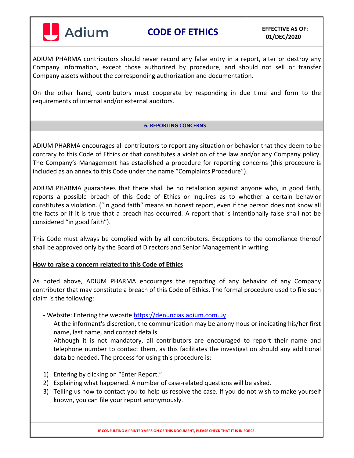

ADIUM PHARMA contributors should never record any false entry in a report, alter or destroy any Company information, except those authorized by procedure, and should not sell or transfer Company assets without the corresponding authorization and documentation.

On the other hand, contributors must cooperate by responding in due time and form to the requirements of internal and/or external auditors.

#### **6. REPORTING CONCERNS**

ADIUM PHARMA encourages all contributors to report any situation or behavior that they deem to be contrary to this Code of Ethics or that constitutes a violation of the law and/or any Company policy. The Company's Management has established a procedure for reporting concerns (this procedure is included as an annex to this Code under the name "Complaints Procedure").

ADIUM PHARMA guarantees that there shall be no retaliation against anyone who, in good faith, reports a possible breach of this Code of Ethics or inquires as to whether a certain behavior constitutes a violation. ("In good faith" means an honest report, even if the person does not know all the facts or if it is true that a breach has occurred. A report that is intentionally false shall not be considered "in good faith").

This Code must always be complied with by all contributors. Exceptions to the compliance thereof shall be approved only by the Board of Directors and Senior Management in writing.

### **How to raise a concern related to this Code of Ethics**

As noted above, ADIUM PHARMA encourages the reporting of any behavior of any Company contributor that may constitute a breach of this Code of Ethics. The formal procedure used to file such claim is the following:

- Website: Entering the website [https://denuncias.adium.com.uy](https://denuncias.adium.com.uy/)

At the informant's discretion, the communication may be anonymous or indicating his/her first name, last name, and contact details.

Although it is not mandatory, all contributors are encouraged to report their name and telephone number to contact them, as this facilitates the investigation should any additional data be needed. The process for using this procedure is:

- 1) Entering by clicking on "Enter Report."
- 2) Explaining what happened. A number of case-related questions will be asked.
- 3) Telling us how to contact you to help us resolve the case. If you do not wish to make yourself known, you can file your report anonymously.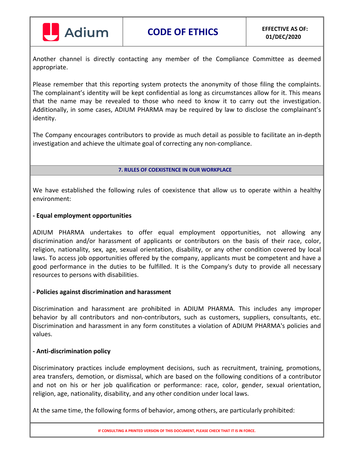

Another channel is directly contacting any member of the Compliance Committee as deemed appropriate.

Please remember that this reporting system protects the anonymity of those filing the complaints. The complainant's identity will be kept confidential as long as circumstances allow for it. This means that the name may be revealed to those who need to know it to carry out the investigation. Additionally, in some cases, ADIUM PHARMA may be required by law to disclose the complainant's identity.

The Company encourages contributors to provide as much detail as possible to facilitate an in-depth investigation and achieve the ultimate goal of correcting any non-compliance.

#### **7. RULES OF COEXISTENCE IN OUR WORKPLACE**

We have established the following rules of coexistence that allow us to operate within a healthy environment:

### **- Equal employment opportunities**

ADIUM PHARMA undertakes to offer equal employment opportunities, not allowing any discrimination and/or harassment of applicants or contributors on the basis of their race, color, religion, nationality, sex, age, sexual orientation, disability, or any other condition covered by local laws. To access job opportunities offered by the company, applicants must be competent and have a good performance in the duties to be fulfilled. It is the Company's duty to provide all necessary resources to persons with disabilities.

### **- Policies against discrimination and harassment**

Discrimination and harassment are prohibited in ADIUM PHARMA. This includes any improper behavior by all contributors and non-contributors, such as customers, suppliers, consultants, etc. Discrimination and harassment in any form constitutes a violation of ADIUM PHARMA's policies and values.

### **- Anti-discrimination policy**

Discriminatory practices include employment decisions, such as recruitment, training, promotions, area transfers, demotion, or dismissal, which are based on the following conditions of a contributor and not on his or her job qualification or performance: race, color, gender, sexual orientation, religion, age, nationality, disability, and any other condition under local laws.

At the same time, the following forms of behavior, among others, are particularly prohibited: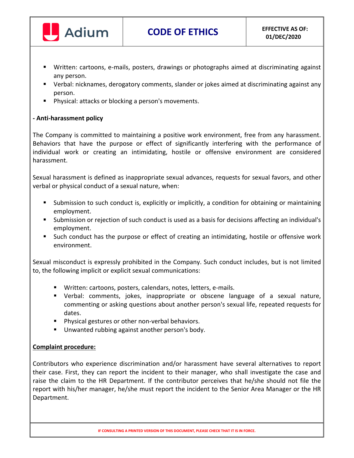

- Written: cartoons, e-mails, posters, drawings or photographs aimed at discriminating against any person.
- Verbal: nicknames, derogatory comments, slander or jokes aimed at discriminating against any person.
- **Physical: attacks or blocking a person's movements.**

# **- Anti-harassment policy**

The Company is committed to maintaining a positive work environment, free from any harassment. Behaviors that have the purpose or effect of significantly interfering with the performance of individual work or creating an intimidating, hostile or offensive environment are considered harassment.

Sexual harassment is defined as inappropriate sexual advances, requests for sexual favors, and other verbal or physical conduct of a sexual nature, when:

- Submission to such conduct is, explicitly or implicitly, a condition for obtaining or maintaining employment.
- Submission or rejection of such conduct is used as a basis for decisions affecting an individual's employment.
- Such conduct has the purpose or effect of creating an intimidating, hostile or offensive work environment.

Sexual misconduct is expressly prohibited in the Company. Such conduct includes, but is not limited to, the following implicit or explicit sexual communications:

- Written: cartoons, posters, calendars, notes, letters, e-mails.
- Verbal: comments, jokes, inappropriate or obscene language of a sexual nature, commenting or asking questions about another person's sexual life, repeated requests for dates.
- **Physical gestures or other non-verbal behaviors.**
- Unwanted rubbing against another person's body.

# **Complaint procedure:**

Contributors who experience discrimination and/or harassment have several alternatives to report their case. First, they can report the incident to their manager, who shall investigate the case and raise the claim to the HR Department. If the contributor perceives that he/she should not file the report with his/her manager, he/she must report the incident to the Senior Area Manager or the HR Department.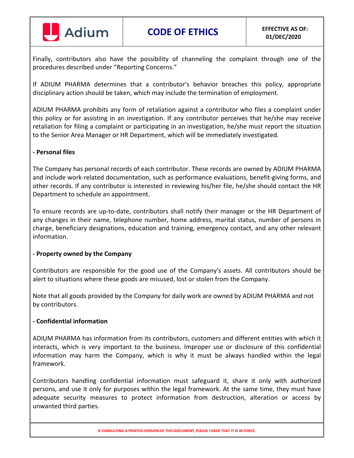

Finally, contributors also have the possibility of channeling the complaint through one of the procedures described under "Reporting Concerns."

If ADIUM PHARMA determines that a contributor's behavior breaches this policy, appropriate disciplinary action should be taken, which may include the termination of employment.

ADIUM PHARMA prohibits any form of retaliation against a contributor who files a complaint under this policy or for assisting in an investigation. If any contributor perceives that he/she may receive retaliation for filing a complaint or participating in an investigation, he/she must report the situation to the Senior Area Manager or HR Department, which will be immediately investigated.

### **- Personal files**

The Company has personal records of each contributor. These records are owned by ADIUM PHARMA and include work-related documentation, such as performance evaluations, benefit-giving forms, and other records. If any contributor is interested in reviewing his/her file, he/she should contact the HR Department to schedule an appointment.

To ensure records are up-to-date, contributors shall notify their manager or the HR Department of any changes in their name, telephone number, home address, marital status, number of persons in charge, beneficiary designations, education and training, emergency contact, and any other relevant information.

### **- Property owned by the Company**

Contributors are responsible for the good use of the Company's assets. All contributors should be alert to situations where these goods are misused, lost or stolen from the Company.

Note that all goods provided by the Company for daily work are owned by ADIUM PHARMA and not by contributors.

### **- Confidential information**

ADIUM PHARMA has information from its contributors, customers and different entities with which it interacts, which is very important to the business. Improper use or disclosure of this confidential information may harm the Company, which is why it must be always handled within the legal framework.

Contributors handling confidential information must safeguard it, share it only with authorized persons, and use it only for purposes within the legal framework. At the same time, they must have adequate security measures to protect information from destruction, alteration or access by unwanted third parties.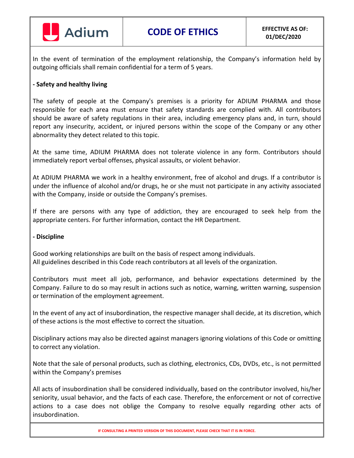

In the event of termination of the employment relationship, the Company's information held by outgoing officials shall remain confidential for a term of 5 years.

### **- Safety and healthy living**

The safety of people at the Company's premises is a priority for ADIUM PHARMA and those responsible for each area must ensure that safety standards are complied with. All contributors should be aware of safety regulations in their area, including emergency plans and, in turn, should report any insecurity, accident, or injured persons within the scope of the Company or any other abnormality they detect related to this topic.

At the same time, ADIUM PHARMA does not tolerate violence in any form. Contributors should immediately report verbal offenses, physical assaults, or violent behavior.

At ADIUM PHARMA we work in a healthy environment, free of alcohol and drugs. If a contributor is under the influence of alcohol and/or drugs, he or she must not participate in any activity associated with the Company, inside or outside the Company's premises.

If there are persons with any type of addiction, they are encouraged to seek help from the appropriate centers. For further information, contact the HR Department.

### **- Discipline**

Good working relationships are built on the basis of respect among individuals. All guidelines described in this Code reach contributors at all levels of the organization.

Contributors must meet all job, performance, and behavior expectations determined by the Company. Failure to do so may result in actions such as notice, warning, written warning, suspension or termination of the employment agreement.

In the event of any act of insubordination, the respective manager shall decide, at its discretion, which of these actions is the most effective to correct the situation.

Disciplinary actions may also be directed against managers ignoring violations of this Code or omitting to correct any violation.

Note that the sale of personal products, such as clothing, electronics, CDs, DVDs, etc., is not permitted within the Company's premises

All acts of insubordination shall be considered individually, based on the contributor involved, his/her seniority, usual behavior, and the facts of each case. Therefore, the enforcement or not of corrective actions to a case does not oblige the Company to resolve equally regarding other acts of insubordination.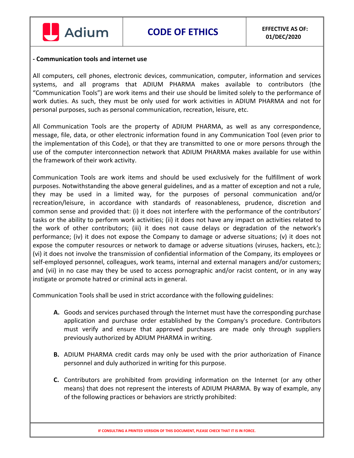

#### **- Communication tools and internet use**

All computers, cell phones, electronic devices, communication, computer, information and services systems, and all programs that ADIUM PHARMA makes available to contributors (the "Communication Tools") are work items and their use should be limited solely to the performance of work duties. As such, they must be only used for work activities in ADIUM PHARMA and not for personal purposes, such as personal communication, recreation, leisure, etc.

All Communication Tools are the property of ADIUM PHARMA, as well as any correspondence, message, file, data, or other electronic information found in any Communication Tool (even prior to the implementation of this Code), or that they are transmitted to one or more persons through the use of the computer interconnection network that ADIUM PHARMA makes available for use within the framework of their work activity.

Communication Tools are work items and should be used exclusively for the fulfillment of work purposes. Notwithstanding the above general guidelines, and as a matter of exception and not a rule, they may be used in a limited way, for the purposes of personal communication and/or recreation/leisure, in accordance with standards of reasonableness, prudence, discretion and common sense and provided that: (i) it does not interfere with the performance of the contributors' tasks or the ability to perform work activities; (ii) it does not have any impact on activities related to the work of other contributors; (iii) it does not cause delays or degradation of the network's performance; (iv) it does not expose the Company to damage or adverse situations; (v) it does not expose the computer resources or network to damage or adverse situations (viruses, hackers, etc.); (vi) it does not involve the transmission of confidential information of the Company, its employees or self-employed personnel, colleagues, work teams, internal and external managers and/or customers; and (vii) in no case may they be used to access pornographic and/or racist content, or in any way instigate or promote hatred or criminal acts in general.

Communication Tools shall be used in strict accordance with the following guidelines:

- **A.** Goods and services purchased through the Internet must have the corresponding purchase application and purchase order established by the Company's procedure. Contributors must verify and ensure that approved purchases are made only through suppliers previously authorized by ADIUM PHARMA in writing.
- **B.** ADIUM PHARMA credit cards may only be used with the prior authorization of Finance personnel and duly authorized in writing for this purpose.
- **C.** Contributors are prohibited from providing information on the Internet (or any other means) that does not represent the interests of ADIUM PHARMA. By way of example, any of the following practices or behaviors are strictly prohibited: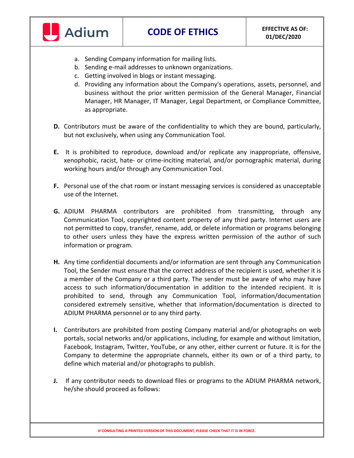

- a. Sending Company information for mailing lists.
- b. Sending e-mail addresses to unknown organizations.
- c. Getting involved in blogs or instant messaging.
- d. Providing any information about the Company's operations, assets, personnel, and business without the prior written permission of the General Manager, Financial Manager, HR Manager, IT Manager, Legal Department, or Compliance Committee, as appropriate.
- **D.** Contributors must be aware of the confidentiality to which they are bound, particularly, but not exclusively, when using any Communication Tool.
- **E.** It is prohibited to reproduce, download and/or replicate any inappropriate, offensive, xenophobic, racist, hate- or crime-inciting material, and/or pornographic material, during working hours and/or through any Communication Tool.
- **F.** Personal use of the chat room or instant messaging services is considered as unacceptable use of the Internet.
- **G.** ADIUM PHARMA contributors are prohibited from transmitting, through any Communication Tool, copyrighted content property of any third party. Internet users are not permitted to copy, transfer, rename, add, or delete information or programs belonging to other users unless they have the express written permission of the author of such information or program.
- **H.** Any time confidential documents and/or information are sent through any Communication Tool, the Sender must ensure that the correct address of the recipient is used, whether it is a member of the Company or a third party. The sender must be aware of who may have access to such information/documentation in addition to the intended recipient. It is prohibited to send, through any Communication Tool, information/documentation considered extremely sensitive, whether that information/documentation is directed to ADIUM PHARMA personnel or to any third party.
- **I.** Contributors are prohibited from posting Company material and/or photographs on web portals, social networks and/or applications, including, for example and without limitation, Facebook, Instagram, Twitter, YouTube, or any other, either current or future. It is for the Company to determine the appropriate channels, either its own or of a third party, to define which material and/or photographs to publish.
- **J.** If any contributor needs to download files or programs to the ADIUM PHARMA network, he/she should proceed as follows: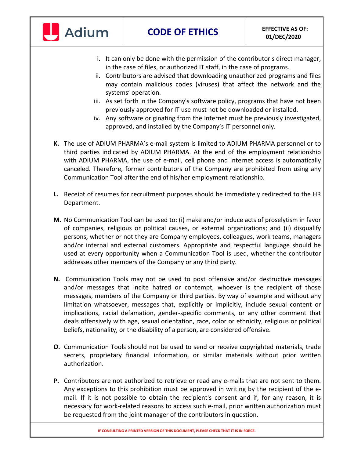

- i. It can only be done with the permission of the contributor's direct manager, in the case of files, or authorized IT staff, in the case of programs.
- ii. Contributors are advised that downloading unauthorized programs and files may contain malicious codes (viruses) that affect the network and the systems' operation.
- iii. As set forth in the Company's software policy, programs that have not been previously approved for IT use must not be downloaded or installed.
- iv. Any software originating from the Internet must be previously investigated, approved, and installed by the Company's IT personnel only.
- **K.** The use of ADIUM PHARMA's e-mail system is limited to ADIUM PHARMA personnel or to third parties indicated by ADIUM PHARMA. At the end of the employment relationship with ADIUM PHARMA, the use of e-mail, cell phone and Internet access is automatically canceled. Therefore, former contributors of the Company are prohibited from using any Communication Tool after the end of his/her employment relationship.
- **L.** Receipt of resumes for recruitment purposes should be immediately redirected to the HR Department.
- **M.** No Communication Tool can be used to: (i) make and/or induce acts of proselytism in favor of companies, religious or political causes, or external organizations; and (ii) disqualify persons, whether or not they are Company employees, colleagues, work teams, managers and/or internal and external customers. Appropriate and respectful language should be used at every opportunity when a Communication Tool is used, whether the contributor addresses other members of the Company or any third party.
- **N.** Communication Tools may not be used to post offensive and/or destructive messages and/or messages that incite hatred or contempt, whoever is the recipient of those messages, members of the Company or third parties. By way of example and without any limitation whatsoever, messages that, explicitly or implicitly, include sexual content or implications, racial defamation, gender-specific comments, or any other comment that deals offensively with age, sexual orientation, race, color or ethnicity, religious or political beliefs, nationality, or the disability of a person, are considered offensive.
- **O.** Communication Tools should not be used to send or receive copyrighted materials, trade secrets, proprietary financial information, or similar materials without prior written authorization.
- **P.** Contributors are not authorized to retrieve or read any e-mails that are not sent to them. Any exceptions to this prohibition must be approved in writing by the recipient of the email. If it is not possible to obtain the recipient's consent and if, for any reason, it is necessary for work-related reasons to access such e-mail, prior written authorization must be requested from the joint manager of the contributors in question.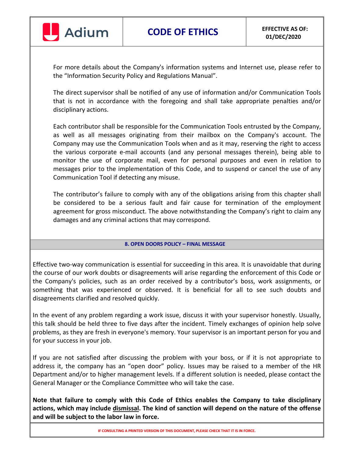

For more details about the Company's information systems and Internet use, please refer to the "Information Security Policy and Regulations Manual".

The direct supervisor shall be notified of any use of information and/or Communication Tools that is not in accordance with the foregoing and shall take appropriate penalties and/or disciplinary actions.

Each contributor shall be responsible for the Communication Tools entrusted by the Company, as well as all messages originating from their mailbox on the Company's account. The Company may use the Communication Tools when and as it may, reserving the right to access the various corporate e-mail accounts (and any personal messages therein), being able to monitor the use of corporate mail, even for personal purposes and even in relation to messages prior to the implementation of this Code, and to suspend or cancel the use of any Communication Tool if detecting any misuse.

The contributor's failure to comply with any of the obligations arising from this chapter shall be considered to be a serious fault and fair cause for termination of the employment agreement for gross misconduct. The above notwithstanding the Company's right to claim any damages and any criminal actions that may correspond.

#### **8. OPEN DOORS POLICY – FINAL MESSAGE**

Effective two-way communication is essential for succeeding in this area. It is unavoidable that during the course of our work doubts or disagreements will arise regarding the enforcement of this Code or the Company's policies, such as an order received by a contributor's boss, work assignments, or something that was experienced or observed. It is beneficial for all to see such doubts and disagreements clarified and resolved quickly.

In the event of any problem regarding a work issue, discuss it with your supervisor honestly. Usually, this talk should be held three to five days after the incident. Timely exchanges of opinion help solve problems, as they are fresh in everyone's memory. Your supervisor is an important person for you and for your success in your job.

If you are not satisfied after discussing the problem with your boss, or if it is not appropriate to address it, the company has an "open door" policy. Issues may be raised to a member of the HR Department and/or to higher management levels. If a different solution is needed, please contact the General Manager or the Compliance Committee who will take the case.

**Note that failure to comply with this Code of Ethics enables the Company to take disciplinary actions, which may include dismissal. The kind of sanction will depend on the nature of the offense and will be subject to the labor law in force.**